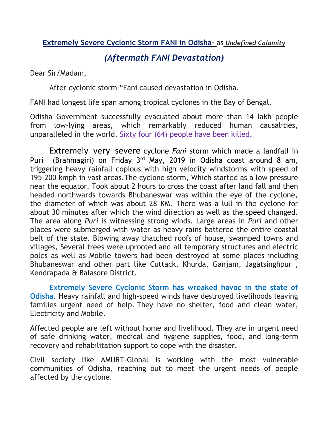#### **Extremely Severe Cyclonic Storm FANI in Odisha-** as *Undefined Calamity*

## *(Aftermath FANI Devastation)*

Dear Sir/Madam,

After cyclonic storm "Fani caused devastation in Odisha.

FANI had longest life span among tropical cyclones in the Bay of Bengal.

Odisha Government successfully evacuated about more than 14 lakh people from low-lying areas, which remarkably reduced human causalities, unparalleled in the world. Sixty four (64) people have been killed.

Extremely very severe cyclone *Fani* [storm which made a landfall in](https://www.ndtv.com/india-news/cyclone-fani-expected-to-make-landfall-on-odisha-coast-1-million-evacuated-defence-forces-and-disast-2032210)  [Puri \(Brahmagiri\) on](https://www.ndtv.com/india-news/cyclone-fani-expected-to-make-landfall-on-odisha-coast-1-million-evacuated-defence-forces-and-disast-2032210) Friday 3rd May, 2019 in Odisha coast around 8 am, triggering heavy rainfall copious with high velocity windstorms with speed of 195-200 kmph in vast areas.The cyclone storm, Which started as a low pressure near the equator. Took about 2 hours to cross the coast after land fall and then headed northwards towards Bhubaneswar was within the eye of the cyclone, the diameter of which was about 28 KM. There was a lull in the cyclone for about 30 minutes after which the wind direction as well as the speed changed. The area along *Puri* is witnessing strong winds. Large areas in *Puri* and other places were submerged with water as heavy rains battered the entire coastal belt of the state. Blowing away thatched roofs of house, swamped towns and villages, Several trees were uprooted and all temporary structures and electric poles as well as Mobile towers had been destroyed at some places including Bhubaneswar and other part like Cuttack, Khurda, Ganjam, Jagatsinghpur , Kendrapada & Balasore District.

**Extremely Severe Cyclonic Storm has wreaked havoc in the state of Odisha.** Heavy rainfall and high-speed winds have destroyed livelihoods leaving families urgent need of help. They have no shelter, food and clean water, Electricity and Mobile.

Affected people are left without home and livelihood. They are in urgent need of safe drinking water, medical and hygiene supplies, food, and long-term recovery and rehabilitation support to cope with the disaster.

Civil society like AMURT-Global is working with the most vulnerable communities of Odisha, reaching out to meet the urgent needs of people affected by the cyclone.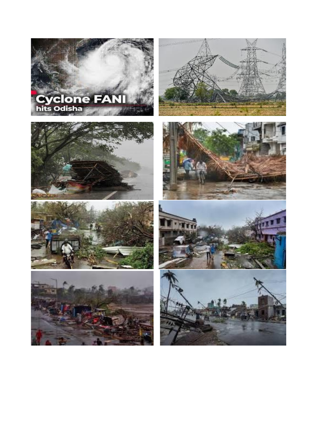













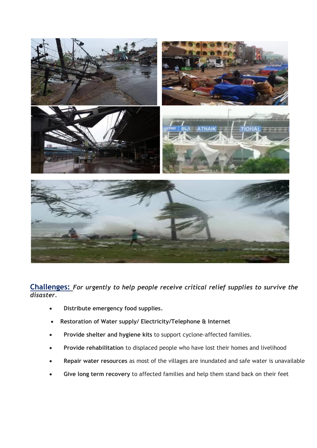

**Challenges:** *For urgently to help people receive critical relief supplies to survive the disaster.*

- **Distribute emergency food supplies.**
- **Restoration of Water supply/ Electricity/Telephone & Internet**
- **Provide shelter and hygiene kits** to support cyclone-affected families.
- **Provide rehabilitation** to displaced people who have lost their homes and livelihood
- **Repair water resources** as most of the villages are inundated and safe water is unavailable
- **Give long term recovery** to affected families and help them stand back on their feet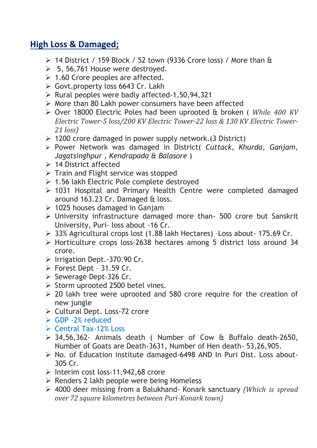## **High Loss & Damaged;**

- $\geq$  14 District / 159 Block / 52 town (9336 Crore loss) / More than &
- $\geq 5.56,761$  House were destroved.
- $\geq 1.60$  Crore peoples are affected.
- ➢ Govt.property loss 6643 Cr. Lakh
- $\triangleright$  Rural peoples were badly affected-1,50,94,321
- ➢ More than 80 Lakh power consumers have been affected
- ➢ Over 18000 Electric Poles had been uprooted & broken ( *While 400 KV Electric Tower-5 loss/200 KV Electric Tower-22 loss & 130 KV Electric Tower-21 loss)*
- ➢ 1200 crore damaged in power supply network.(3 District)
- ➢ Power Network was damaged in District( *Cuttack, Khurda, Ganjam, Jagatsinghpur , Kendrapada & Balasore* )
- ➢ 14 District affected
- ➢ Train and Flight service was stopped
- ➢ 1.56 lakh Electric Pole complete destroyed
- ➢ 1031 Hospital and Primary Health Centre were completed damaged around 163.23 Cr. Damaged & loss.
- $\geq$  1025 houses damaged in Ganjam
- ➢ University infrastructure damaged more than- 500 crore but Sanskrit University, Puri- loss about -16 Cr.
- ➢ 33% Agricultural crops lost (1.88 lakh Hectares) –Loss about- 175.69 Cr.
- ➢ Horticulture crops loss-2638 hectares among 5 district loss around 34 crore.
- ➢ Irrigation Dept.-370.90 Cr.
- ➢ Forest Dept 31.59 Cr.
- ➢ Sewerage Dept-326 Cr.
- ➢ Storm uprooted 2500 betel vines.
- $\geq$  20 lakh tree were uprooted and 580 crore require for the creation of new jungle
- ➢ Cultural Dept. Loss-72 crore
- ➢ GDP -2% reduced
- ➢ Central Tax-12% Loss
- ➢ 34,56,362- Animals death ( Number of Cow & Buffalo death-2650, Number of Goats are Death-3631, Number of Hen death- 53,26,905.
- ➢ No. of Education institute damaged-6498 AND In Puri Dist. Loss about-305 Cr.
- ➢ Interim cost loss-11,942,68 crore
- ➢ Renders 2 lakh people were being Homeless
- ➢ 4000 deer missing from a Balukhand- Konark sanctuary *(Which is spread over 72 square kilometres between Puri-Konark town)*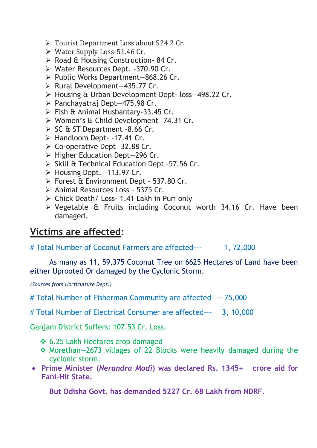- ➢ Tourist Department Loss about 524.2 Cr.
- ➢ Water Supply Loss-51.46 Cr.
- ➢ Road & Housing Construction- 84 Cr.
- ➢ Water Resources Dept. -370.90 Cr.
- ➢ Public Works Department—868.26 Cr.
- ➢ Rural Development—435.77 Cr.
- ➢ Housing & Urban Development Dept- loss—498.22 Cr.
- ➢ Panchayatraj Dept—475.98 Cr.
- ➢ Fish & Animal Husbantary-33.45 Cr.
- ➢ Women's & Child Development –74.31 Cr.
- $\geq$  SC & ST Department -8.66 Cr.
- ➢ Handloom Dept- -17.41 Cr.
- ➢ Co-operative Dept –32.88 Cr.
- ➢ Higher Education Dept—296 Cr.
- ➢ Skill & Technical Education Dept –57.56 Cr.
- $\triangleright$  Housing Dept. -113.97 Cr.
- ➢ Forest & Environment Dept 537.80 Cr.
- ➢ Animal Resources Loss 5375 Cr.
- ➢ Chick Death/ Loss- 1.41 Lakh in Puri only
- ➢ Vegetable & Fruits including Coconut worth 34.16 Cr. Have been damaged.

## **Victims are affected:**

# Total Number of Coconut Farmers are affected--- 1, 72,000

As many as 11, 59,375 Coconut Tree on 6625 Hectares of Land have been either Uprooted Or damaged by the Cyclonic Storm.

*(Sources from Horticulture Dept.)*

# Total Number of Fisherman Community are affected—-- 75,000

# Total Number of Electrical Consumer are affected—- **3**, 10,000

Ganjam District Suffers: 107.53 Cr. Loss.

- ❖ 6.25 Lakh Hectares crop damaged
- ❖ Morethan—2673 villages of 22 Blocks were heavily damaged during the cyclonic storm.
- **Prime Minister (***Nerandra Modi***) was declared Rs. 1345+ crore aid for Fani-Hit State.**

**But Odisha Govt. has demanded 5227 Cr. 68 Lakh from NDRF.**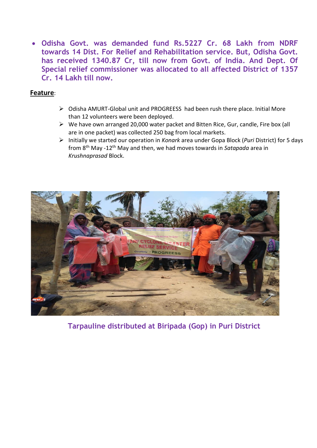• **Odisha Govt. was demanded fund Rs.5227 Cr. 68 Lakh from NDRF towards 14 Dist. For Relief and Rehabilitation service. But, Odisha Govt. has received 1340.87 Cr, till now from Govt. of India. And Dept. Of Special relief commissioner was allocated to all affected District of 1357 Cr. 14 Lakh till now.**

#### **Feature**:

- ➢ Odisha AMURT-Global unit and PROGREESS had been rush there place. Initial More than 12 volunteers were been deployed.
- ➢ We have own arranged 20,000 water packet and Bitten Rice, Gur, candle, Fire box (all are in one packet) was collected 250 bag from local markets.
- ➢ Initially we started our operation in *Konark* area under Gopa Block (*Puri* District) for 5 days from 8th May -12th May and then, we had moves towards in *Satapada* area in *Krushnaprasad* Block.



**Tarpauline distributed at Biripada (Gop) in Puri District**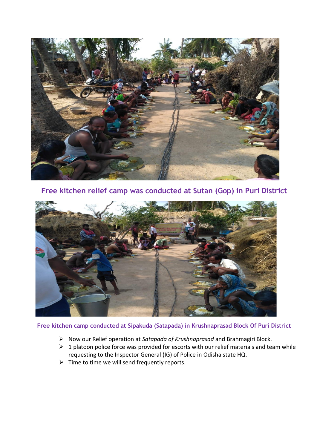

**Free kitchen relief camp was conducted at Sutan (Gop) in Puri District**



**Free kitchen camp conducted at Sipakuda (Satapada) in Krushnaprasad Block Of Puri District**

- ➢ Now our Relief operation at *Satapada of Krushnaprasad* and Brahmagiri Block.
- $\triangleright$  1 platoon police force was provided for escorts with our relief materials and team while requesting to the Inspector General (IG) of Police in Odisha state HQ.
- $\triangleright$  Time to time we will send frequently reports.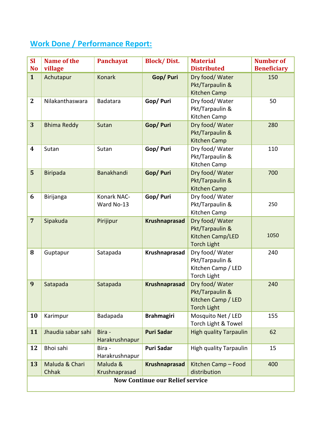# **Work Done / Performance Report:**

| <b>Sl</b><br><b>No</b>                 | <b>Name of the</b><br>village | <b>Panchayat</b>          | <b>Block/Dist.</b>   | <b>Material</b><br><b>Distributed</b>                                          | <b>Number of</b><br><b>Beneficiary</b> |
|----------------------------------------|-------------------------------|---------------------------|----------------------|--------------------------------------------------------------------------------|----------------------------------------|
| $\mathbf{1}$                           | Achutapur                     | <b>Konark</b>             | Gop/ Puri            | Dry food/ Water<br>Pkt/Tarpaulin &<br><b>Kitchen Camp</b>                      | 150                                    |
| $\mathbf{2}$                           | Nilakanthaswara               | Badatara                  | Gop/Puri             | Dry food/ Water<br>Pkt/Tarpaulin &<br>Kitchen Camp                             | 50                                     |
| 3                                      | <b>Bhima Reddy</b>            | Sutan                     | Gop/ Puri            | Dry food/ Water<br>Pkt/Tarpaulin &<br>Kitchen Camp                             | 280                                    |
| $\boldsymbol{4}$                       | Sutan                         | Sutan                     | Gop/Puri             | Dry food/ Water<br>Pkt/Tarpaulin &<br>Kitchen Camp                             | 110                                    |
| 5                                      | <b>Biripada</b>               | Banakhandi                | Gop/ Puri            | Dry food/ Water<br>Pkt/Tarpaulin &<br>Kitchen Camp                             | 700                                    |
| 6                                      | Birijanga                     | Konark NAC-<br>Ward No-13 | Gop/Puri             | Dry food/ Water<br>Pkt/Tarpaulin &<br>Kitchen Camp                             | 250                                    |
| $\overline{7}$                         | Sipakuda                      | Pirijipur                 | <b>Krushnaprasad</b> | Dry food/ Water<br>Pkt/Tarpaulin &<br>Kitchen Camp/LED<br><b>Torch Light</b>   | 1050                                   |
| 8                                      | Guptapur                      | Satapada                  | Krushnaprasad        | Dry food/ Water<br>Pkt/Tarpaulin &<br>Kitchen Camp / LED<br><b>Torch Light</b> | 240                                    |
| 9                                      | Satapada                      | Satapada                  | <b>Krushnaprasad</b> | Dry food/ Water<br>Pkt/Tarpaulin &<br>Kitchen Camp / LED<br><b>Torch Light</b> | 240                                    |
| 10                                     | Karimpur                      | Badapada                  | <b>Brahmagiri</b>    | Mosquito Net / LED<br>Torch Light & Towel                                      | 155                                    |
| 11                                     | Jhaudia sabar sahi            | Bira -<br>Harakrushnapur  | <b>Puri Sadar</b>    | <b>High quality Tarpaulin</b>                                                  | 62                                     |
| 12                                     | Bhoi sahi                     | Bira -<br>Harakrushnapur  | <b>Puri Sadar</b>    | <b>High quality Tarpaulin</b>                                                  | 15                                     |
| 13                                     | Maluda & Chari<br>Chhak       | Maluda &<br>Krushnaprasad | <b>Krushnaprasad</b> | Kitchen Camp - Food<br>distribution                                            | 400                                    |
| <b>Now Continue our Relief service</b> |                               |                           |                      |                                                                                |                                        |